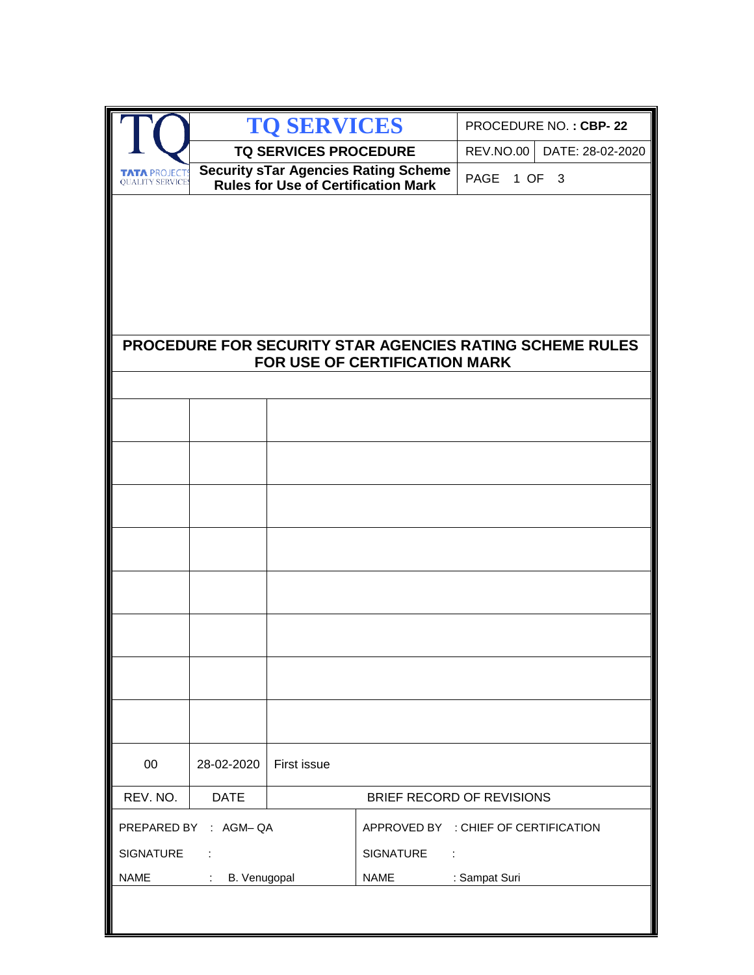|                                               |                                          | <b>TO SERVICES</b>                         |                                             |               | PROCEDURE NO.: CBP-22                                    |
|-----------------------------------------------|------------------------------------------|--------------------------------------------|---------------------------------------------|---------------|----------------------------------------------------------|
|                                               |                                          | <b>TQ SERVICES PROCEDURE</b>               |                                             |               | REV.NO.00 DATE: 28-02-2020                               |
| <b>TATA PROJECT</b><br><b>OUALITY SERVICE</b> |                                          | <b>Rules for Use of Certification Mark</b> | <b>Security sTar Agencies Rating Scheme</b> | PAGE 1 OF 3   |                                                          |
|                                               |                                          |                                            |                                             |               |                                                          |
|                                               |                                          |                                            |                                             |               |                                                          |
|                                               |                                          |                                            |                                             |               |                                                          |
|                                               |                                          |                                            |                                             |               |                                                          |
|                                               |                                          |                                            |                                             |               |                                                          |
|                                               |                                          |                                            | FOR USE OF CERTIFICATION MARK               |               | PROCEDURE FOR SECURITY STAR AGENCIES RATING SCHEME RULES |
|                                               |                                          |                                            |                                             |               |                                                          |
|                                               |                                          |                                            |                                             |               |                                                          |
|                                               |                                          |                                            |                                             |               |                                                          |
|                                               |                                          |                                            |                                             |               |                                                          |
|                                               |                                          |                                            |                                             |               |                                                          |
|                                               |                                          |                                            |                                             |               |                                                          |
|                                               |                                          |                                            |                                             |               |                                                          |
|                                               |                                          |                                            |                                             |               |                                                          |
|                                               |                                          |                                            |                                             |               |                                                          |
|                                               |                                          |                                            |                                             |               |                                                          |
|                                               |                                          |                                            |                                             |               |                                                          |
|                                               |                                          |                                            |                                             |               |                                                          |
|                                               |                                          |                                            |                                             |               |                                                          |
|                                               |                                          |                                            |                                             |               |                                                          |
| 00                                            | 28-02-2020                               | First issue                                |                                             |               |                                                          |
| REV. NO.                                      | <b>DATE</b>                              |                                            | BRIEF RECORD OF REVISIONS                   |               |                                                          |
| PREPARED BY : AGM-QA                          |                                          | APPROVED BY : CHIEF OF CERTIFICATION       |                                             |               |                                                          |
| <b>SIGNATURE</b>                              |                                          |                                            | <b>SIGNATURE</b><br>$\sim 10$               |               |                                                          |
| NAME                                          | B. Venugopal<br>$\mathcal{L}_{\rm{max}}$ |                                            | <b>NAME</b>                                 | : Sampat Suri |                                                          |
|                                               |                                          |                                            |                                             |               |                                                          |
|                                               |                                          |                                            |                                             |               |                                                          |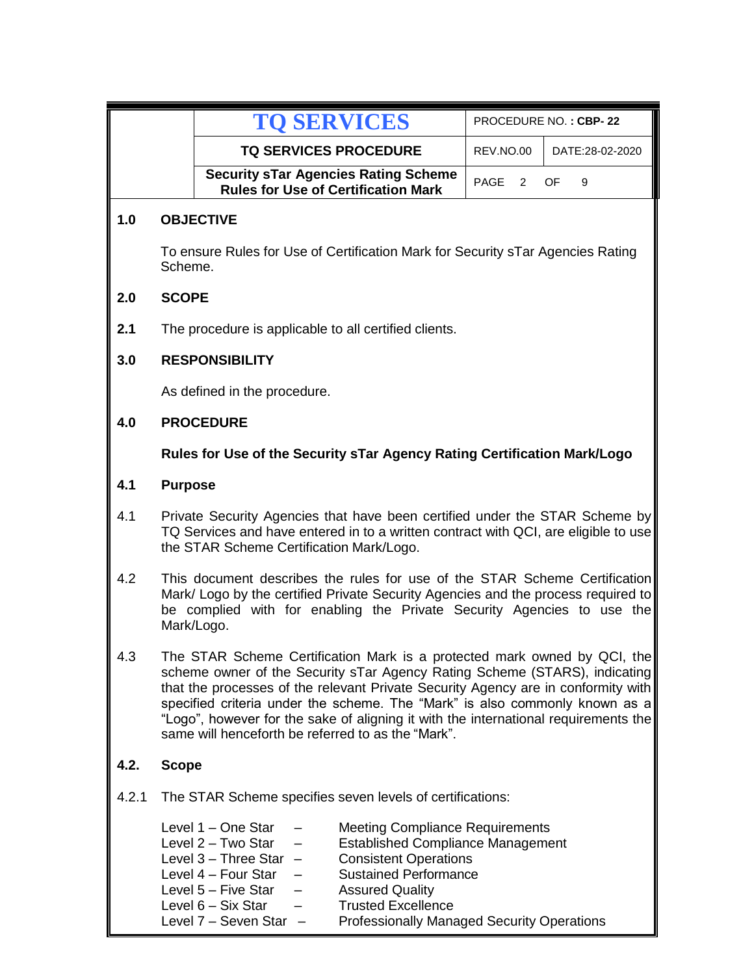|       |                                                                                                                                                                                                                                                                                                                                                                                                                                                                         | <b>TO SERVICES</b>                                                                                                                                                                                                                                                                                                                                                                                                                     | PROCEDURE NO.: CBP-22 |                 |  |
|-------|-------------------------------------------------------------------------------------------------------------------------------------------------------------------------------------------------------------------------------------------------------------------------------------------------------------------------------------------------------------------------------------------------------------------------------------------------------------------------|----------------------------------------------------------------------------------------------------------------------------------------------------------------------------------------------------------------------------------------------------------------------------------------------------------------------------------------------------------------------------------------------------------------------------------------|-----------------------|-----------------|--|
|       |                                                                                                                                                                                                                                                                                                                                                                                                                                                                         | <b>TQ SERVICES PROCEDURE</b>                                                                                                                                                                                                                                                                                                                                                                                                           | REV.NO.00             | DATE:28-02-2020 |  |
|       |                                                                                                                                                                                                                                                                                                                                                                                                                                                                         | <b>Security sTar Agencies Rating Scheme</b><br><b>Rules for Use of Certification Mark</b>                                                                                                                                                                                                                                                                                                                                              | <b>PAGE</b><br>2      | OF<br>9         |  |
| 1.0   |                                                                                                                                                                                                                                                                                                                                                                                                                                                                         | <b>OBJECTIVE</b>                                                                                                                                                                                                                                                                                                                                                                                                                       |                       |                 |  |
|       | To ensure Rules for Use of Certification Mark for Security sTar Agencies Rating<br>Scheme.                                                                                                                                                                                                                                                                                                                                                                              |                                                                                                                                                                                                                                                                                                                                                                                                                                        |                       |                 |  |
| 2.0   | <b>SCOPE</b>                                                                                                                                                                                                                                                                                                                                                                                                                                                            |                                                                                                                                                                                                                                                                                                                                                                                                                                        |                       |                 |  |
| 2.1   |                                                                                                                                                                                                                                                                                                                                                                                                                                                                         | The procedure is applicable to all certified clients.                                                                                                                                                                                                                                                                                                                                                                                  |                       |                 |  |
| 3.0   |                                                                                                                                                                                                                                                                                                                                                                                                                                                                         | <b>RESPONSIBILITY</b>                                                                                                                                                                                                                                                                                                                                                                                                                  |                       |                 |  |
|       |                                                                                                                                                                                                                                                                                                                                                                                                                                                                         | As defined in the procedure.                                                                                                                                                                                                                                                                                                                                                                                                           |                       |                 |  |
| 4.0   |                                                                                                                                                                                                                                                                                                                                                                                                                                                                         | <b>PROCEDURE</b>                                                                                                                                                                                                                                                                                                                                                                                                                       |                       |                 |  |
|       | Rules for Use of the Security sTar Agency Rating Certification Mark/Logo                                                                                                                                                                                                                                                                                                                                                                                                |                                                                                                                                                                                                                                                                                                                                                                                                                                        |                       |                 |  |
| 4.1   |                                                                                                                                                                                                                                                                                                                                                                                                                                                                         | <b>Purpose</b>                                                                                                                                                                                                                                                                                                                                                                                                                         |                       |                 |  |
| 4.1   |                                                                                                                                                                                                                                                                                                                                                                                                                                                                         | Private Security Agencies that have been certified under the STAR Scheme by<br>TQ Services and have entered in to a written contract with QCI, are eligible to use<br>the STAR Scheme Certification Mark/Logo.                                                                                                                                                                                                                         |                       |                 |  |
| 4.2   | This document describes the rules for use of the STAR Scheme Certification<br>Mark/ Logo by the certified Private Security Agencies and the process required to<br>be complied with for enabling the Private Security Agencies to use the<br>Mark/Logo.                                                                                                                                                                                                                 |                                                                                                                                                                                                                                                                                                                                                                                                                                        |                       |                 |  |
| 4.3   | The STAR Scheme Certification Mark is a protected mark owned by QCI, the<br>scheme owner of the Security sTar Agency Rating Scheme (STARS), indicating<br>that the processes of the relevant Private Security Agency are in conformity with<br>specified criteria under the scheme. The "Mark" is also commonly known as a<br>"Logo", however for the sake of aligning it with the international requirements the<br>same will henceforth be referred to as the "Mark". |                                                                                                                                                                                                                                                                                                                                                                                                                                        |                       |                 |  |
| 4.2.  | <b>Scope</b>                                                                                                                                                                                                                                                                                                                                                                                                                                                            |                                                                                                                                                                                                                                                                                                                                                                                                                                        |                       |                 |  |
| 4.2.1 |                                                                                                                                                                                                                                                                                                                                                                                                                                                                         | The STAR Scheme specifies seven levels of certifications:                                                                                                                                                                                                                                                                                                                                                                              |                       |                 |  |
|       |                                                                                                                                                                                                                                                                                                                                                                                                                                                                         | Level 1 - One Star<br><b>Meeting Compliance Requirements</b><br>Level 2 - Two Star<br><b>Established Compliance Management</b><br>Level $3 -$ Three Star $-$<br><b>Consistent Operations</b><br>Level 4 - Four Star<br><b>Sustained Performance</b><br>Level 5 - Five Star<br><b>Assured Quality</b><br>Level 6 – Six Star<br><b>Trusted Excellence</b><br><b>Professionally Managed Security Operations</b><br>Level 7 - Seven Star - |                       |                 |  |

Professionally Managed Security Operations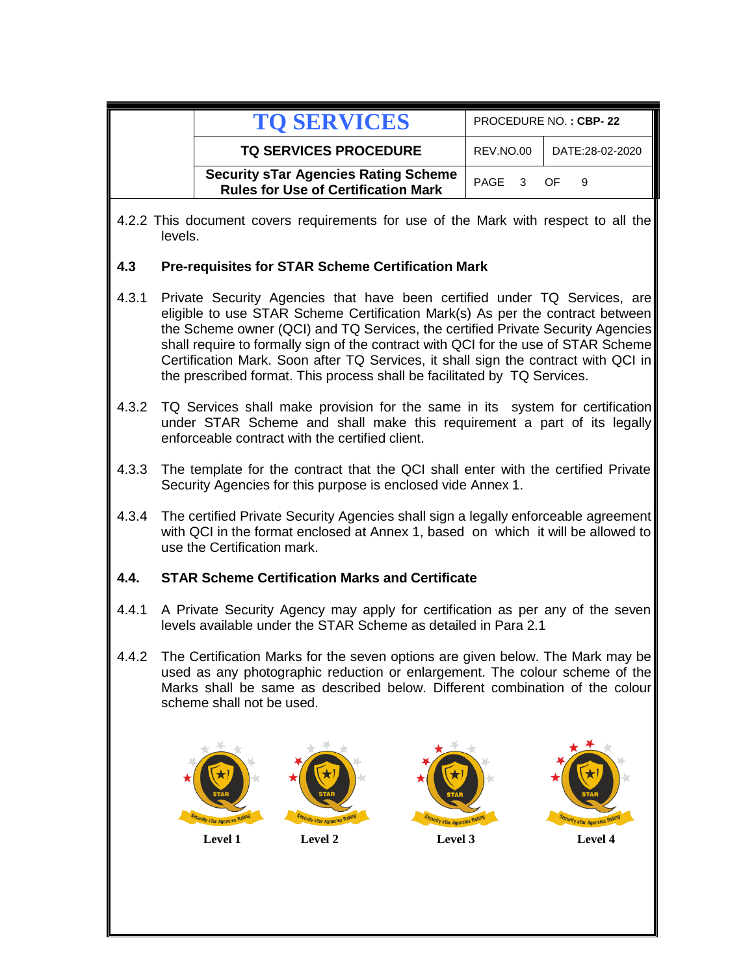|       |                                                                                                                                                                                                                                                                                                                                                                                                                                                                                                       |                                                                                                                                                                                                       | <b>TO SERVICES</b>                                                                        |                                       |                        | PROCEDURE NO.: CBP-22                                                                                                                                    |
|-------|-------------------------------------------------------------------------------------------------------------------------------------------------------------------------------------------------------------------------------------------------------------------------------------------------------------------------------------------------------------------------------------------------------------------------------------------------------------------------------------------------------|-------------------------------------------------------------------------------------------------------------------------------------------------------------------------------------------------------|-------------------------------------------------------------------------------------------|---------------------------------------|------------------------|----------------------------------------------------------------------------------------------------------------------------------------------------------|
|       |                                                                                                                                                                                                                                                                                                                                                                                                                                                                                                       |                                                                                                                                                                                                       | <b>TQ SERVICES PROCEDURE</b>                                                              |                                       | REV.NO.00              | DATE:28-02-2020                                                                                                                                          |
|       |                                                                                                                                                                                                                                                                                                                                                                                                                                                                                                       |                                                                                                                                                                                                       | <b>Security sTar Agencies Rating Scheme</b><br><b>Rules for Use of Certification Mark</b> |                                       | PAGE<br>3 <sup>7</sup> | 9<br>OF.                                                                                                                                                 |
|       | 4.2.2 This document covers requirements for use of the Mark with respect to all the<br>levels.                                                                                                                                                                                                                                                                                                                                                                                                        |                                                                                                                                                                                                       |                                                                                           |                                       |                        |                                                                                                                                                          |
| 4.3   |                                                                                                                                                                                                                                                                                                                                                                                                                                                                                                       |                                                                                                                                                                                                       | <b>Pre-requisites for STAR Scheme Certification Mark</b>                                  |                                       |                        |                                                                                                                                                          |
| 4.3.1 | Private Security Agencies that have been certified under TQ Services, are<br>eligible to use STAR Scheme Certification Mark(s) As per the contract between<br>the Scheme owner (QCI) and TQ Services, the certified Private Security Agencies<br>shall require to formally sign of the contract with QCI for the use of STAR Scheme<br>Certification Mark. Soon after TQ Services, it shall sign the contract with QCI in<br>the prescribed format. This process shall be facilitated by TQ Services. |                                                                                                                                                                                                       |                                                                                           |                                       |                        |                                                                                                                                                          |
| 4.3.2 |                                                                                                                                                                                                                                                                                                                                                                                                                                                                                                       |                                                                                                                                                                                                       | enforceable contract with the certified client.                                           |                                       |                        | TQ Services shall make provision for the same in its system for certification<br>under STAR Scheme and shall make this requirement a part of its legally |
| 4.3.3 |                                                                                                                                                                                                                                                                                                                                                                                                                                                                                                       | The template for the contract that the QCI shall enter with the certified Private<br>Security Agencies for this purpose is enclosed vide Annex 1.                                                     |                                                                                           |                                       |                        |                                                                                                                                                          |
| 4.3.4 |                                                                                                                                                                                                                                                                                                                                                                                                                                                                                                       | The certified Private Security Agencies shall sign a legally enforceable agreement<br>with QCI in the format enclosed at Annex 1, based on which it will be allowed to<br>use the Certification mark. |                                                                                           |                                       |                        |                                                                                                                                                          |
| 4.4.  |                                                                                                                                                                                                                                                                                                                                                                                                                                                                                                       | <b>STAR Scheme Certification Marks and Certificate</b>                                                                                                                                                |                                                                                           |                                       |                        |                                                                                                                                                          |
| 4.4.1 | A Private Security Agency may apply for certification as per any of the seven<br>levels available under the STAR Scheme as detailed in Para 2.1                                                                                                                                                                                                                                                                                                                                                       |                                                                                                                                                                                                       |                                                                                           |                                       |                        |                                                                                                                                                          |
| 4.4.2 | The Certification Marks for the seven options are given below. The Mark may be<br>used as any photographic reduction or enlargement. The colour scheme of the<br>Marks shall be same as described below. Different combination of the colour<br>scheme shall not be used.                                                                                                                                                                                                                             |                                                                                                                                                                                                       |                                                                                           |                                       |                        |                                                                                                                                                          |
|       |                                                                                                                                                                                                                                                                                                                                                                                                                                                                                                       | <b>STar Agencies R</b><br>Level 1                                                                                                                                                                     | <i><b>V sTar Agencies</b></i><br>Level 2                                                  | <i>urity</i> sTar Agencies<br>Level 3 |                        | <i>V sTar Agencies</i><br>Level 4                                                                                                                        |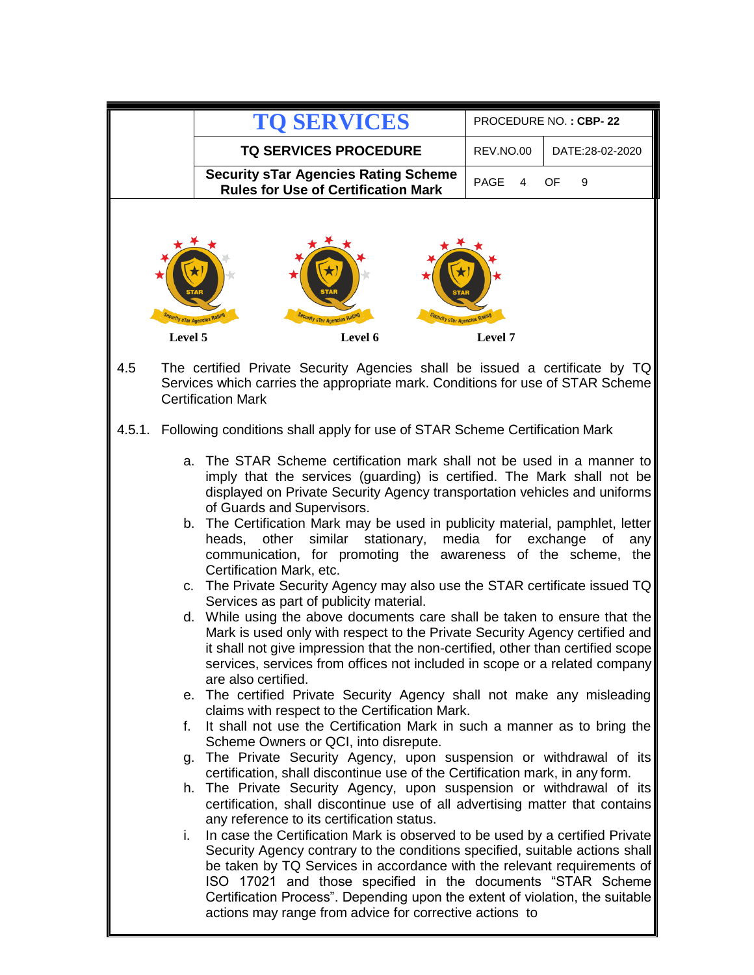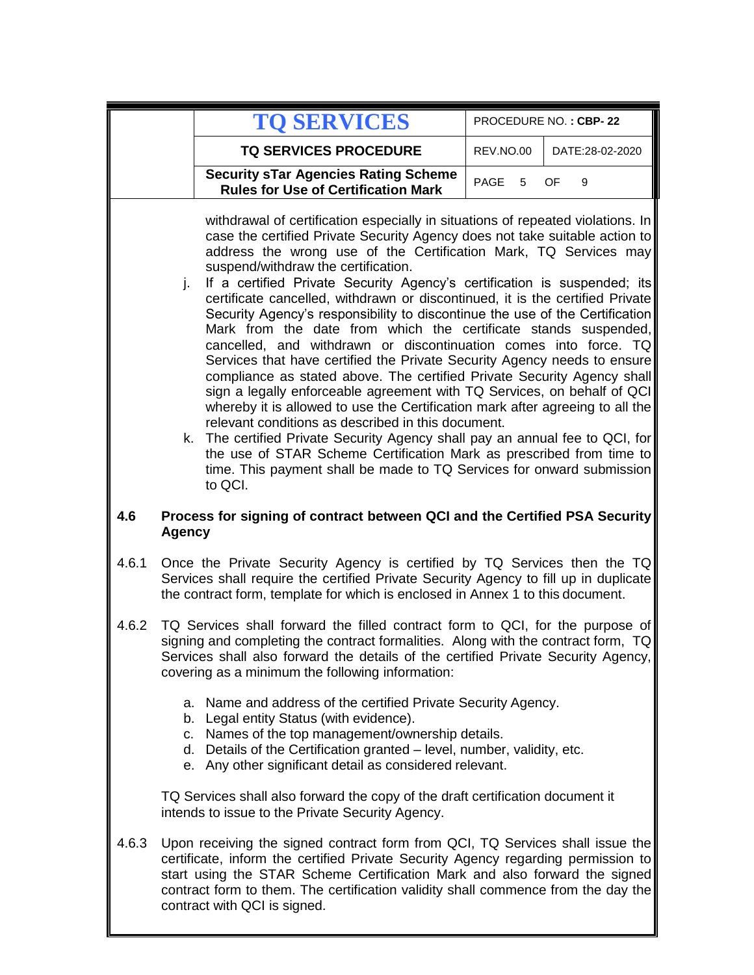|       |                                                                                                                                                                                                                                                                                                                                                                                                                                                                                                                                                                                                                                                                                                                                                                                                                                                                                                                                                                                                                                                                                                                                                                                                                                                                                          | <b>TO SERVICES</b>                                                                                                                                                                                                                                                                                                                                                    |                  | PROCEDURE NO.: CBP-22 |
|-------|------------------------------------------------------------------------------------------------------------------------------------------------------------------------------------------------------------------------------------------------------------------------------------------------------------------------------------------------------------------------------------------------------------------------------------------------------------------------------------------------------------------------------------------------------------------------------------------------------------------------------------------------------------------------------------------------------------------------------------------------------------------------------------------------------------------------------------------------------------------------------------------------------------------------------------------------------------------------------------------------------------------------------------------------------------------------------------------------------------------------------------------------------------------------------------------------------------------------------------------------------------------------------------------|-----------------------------------------------------------------------------------------------------------------------------------------------------------------------------------------------------------------------------------------------------------------------------------------------------------------------------------------------------------------------|------------------|-----------------------|
|       |                                                                                                                                                                                                                                                                                                                                                                                                                                                                                                                                                                                                                                                                                                                                                                                                                                                                                                                                                                                                                                                                                                                                                                                                                                                                                          | <b>TQ SERVICES PROCEDURE</b>                                                                                                                                                                                                                                                                                                                                          | REV.NO.00        | DATE:28-02-2020       |
|       |                                                                                                                                                                                                                                                                                                                                                                                                                                                                                                                                                                                                                                                                                                                                                                                                                                                                                                                                                                                                                                                                                                                                                                                                                                                                                          | <b>Security sTar Agencies Rating Scheme</b><br><b>Rules for Use of Certification Mark</b>                                                                                                                                                                                                                                                                             | <b>PAGE</b><br>5 | <b>OF</b><br>9        |
|       | withdrawal of certification especially in situations of repeated violations. In<br>case the certified Private Security Agency does not take suitable action to<br>address the wrong use of the Certification Mark, TQ Services may<br>suspend/withdraw the certification.<br>If a certified Private Security Agency's certification is suspended; its<br>j.<br>certificate cancelled, withdrawn or discontinued, it is the certified Private<br>Security Agency's responsibility to discontinue the use of the Certification<br>Mark from the date from which the certificate stands suspended,<br>cancelled, and withdrawn or discontinuation comes into force. TQ<br>Services that have certified the Private Security Agency needs to ensure<br>compliance as stated above. The certified Private Security Agency shall<br>sign a legally enforceable agreement with TQ Services, on behalf of QCI<br>whereby it is allowed to use the Certification mark after agreeing to all the<br>relevant conditions as described in this document.<br>k. The certified Private Security Agency shall pay an annual fee to QCI, for<br>the use of STAR Scheme Certification Mark as prescribed from time to<br>time. This payment shall be made to TQ Services for onward submission<br>to QCI. |                                                                                                                                                                                                                                                                                                                                                                       |                  |                       |
| 4.6   | <b>Agency</b>                                                                                                                                                                                                                                                                                                                                                                                                                                                                                                                                                                                                                                                                                                                                                                                                                                                                                                                                                                                                                                                                                                                                                                                                                                                                            | Process for signing of contract between QCI and the Certified PSA Security                                                                                                                                                                                                                                                                                            |                  |                       |
| 4.6.1 |                                                                                                                                                                                                                                                                                                                                                                                                                                                                                                                                                                                                                                                                                                                                                                                                                                                                                                                                                                                                                                                                                                                                                                                                                                                                                          | Once the Private Security Agency is certified by TQ Services then the TQ<br>Services shall require the certified Private Security Agency to fill up in duplicate<br>the contract form, template for which is enclosed in Annex 1 to this document.                                                                                                                    |                  |                       |
| 4.6.2 | TQ Services shall forward the filled contract form to QCI, for the purpose of<br>signing and completing the contract formalities. Along with the contract form, TQ<br>Services shall also forward the details of the certified Private Security Agency,<br>covering as a minimum the following information:                                                                                                                                                                                                                                                                                                                                                                                                                                                                                                                                                                                                                                                                                                                                                                                                                                                                                                                                                                              |                                                                                                                                                                                                                                                                                                                                                                       |                  |                       |
|       | C.                                                                                                                                                                                                                                                                                                                                                                                                                                                                                                                                                                                                                                                                                                                                                                                                                                                                                                                                                                                                                                                                                                                                                                                                                                                                                       | a. Name and address of the certified Private Security Agency.<br>b. Legal entity Status (with evidence).<br>Names of the top management/ownership details.<br>d. Details of the Certification granted - level, number, validity, etc.<br>e. Any other significant detail as considered relevant.                                                                      |                  |                       |
|       |                                                                                                                                                                                                                                                                                                                                                                                                                                                                                                                                                                                                                                                                                                                                                                                                                                                                                                                                                                                                                                                                                                                                                                                                                                                                                          | TQ Services shall also forward the copy of the draft certification document it<br>intends to issue to the Private Security Agency.                                                                                                                                                                                                                                    |                  |                       |
| 4.6.3 |                                                                                                                                                                                                                                                                                                                                                                                                                                                                                                                                                                                                                                                                                                                                                                                                                                                                                                                                                                                                                                                                                                                                                                                                                                                                                          | Upon receiving the signed contract form from QCI, TQ Services shall issue the<br>certificate, inform the certified Private Security Agency regarding permission to<br>start using the STAR Scheme Certification Mark and also forward the signed<br>contract form to them. The certification validity shall commence from the day the<br>contract with QCI is signed. |                  |                       |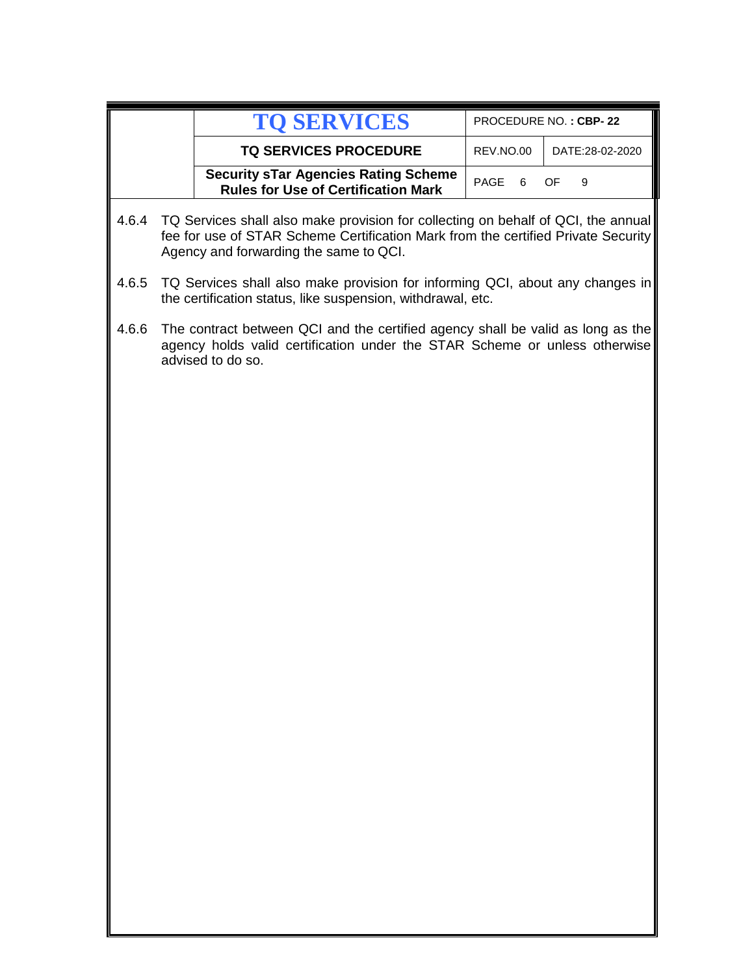|       | <b>TO SERVICES</b>                                                                                                                                                                                               | PROCEDURE NO.: CBP-22 |                 |
|-------|------------------------------------------------------------------------------------------------------------------------------------------------------------------------------------------------------------------|-----------------------|-----------------|
|       | <b>TQ SERVICES PROCEDURE</b>                                                                                                                                                                                     | REV.NO.00             | DATE:28-02-2020 |
|       | <b>Security sTar Agencies Rating Scheme</b><br><b>Rules for Use of Certification Mark</b>                                                                                                                        | PAGE<br>6             | OF<br>9         |
| 4.6.4 | TQ Services shall also make provision for collecting on behalf of QCI, the annual<br>fee for use of STAR Scheme Certification Mark from the certified Private Security<br>Agency and forwarding the same to QCI. |                       |                 |
| 4.6.5 | TQ Services shall also make provision for informing QCI, about any changes in<br>the certification status, like suspension, withdrawal, etc.                                                                     |                       |                 |
| 4.6.6 | The contract between QCI and the certified agency shall be valid as long as the<br>agency holds valid certification under the STAR Scheme or unless otherwise<br>advised to do so.                               |                       |                 |
|       |                                                                                                                                                                                                                  |                       |                 |
|       |                                                                                                                                                                                                                  |                       |                 |
|       |                                                                                                                                                                                                                  |                       |                 |
|       |                                                                                                                                                                                                                  |                       |                 |
|       |                                                                                                                                                                                                                  |                       |                 |
|       |                                                                                                                                                                                                                  |                       |                 |
|       |                                                                                                                                                                                                                  |                       |                 |
|       |                                                                                                                                                                                                                  |                       |                 |
|       |                                                                                                                                                                                                                  |                       |                 |
|       |                                                                                                                                                                                                                  |                       |                 |
|       |                                                                                                                                                                                                                  |                       |                 |
|       |                                                                                                                                                                                                                  |                       |                 |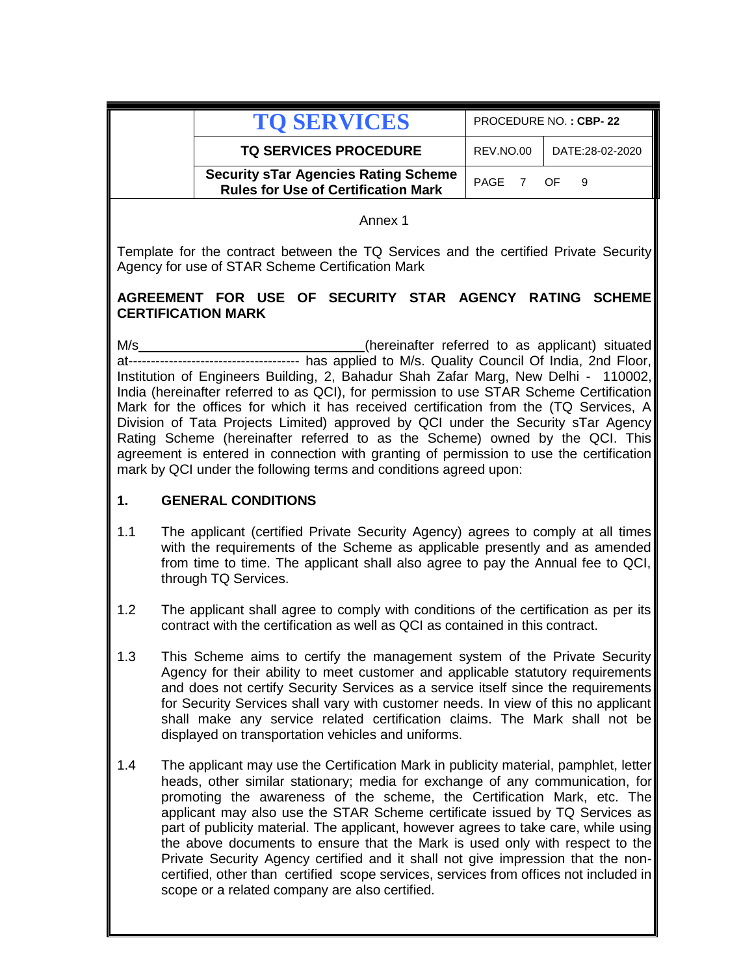| <b>TO SERVICES</b>                                                                        |           | PROCEDURE NO.: CBP-22 |
|-------------------------------------------------------------------------------------------|-----------|-----------------------|
| <b>TQ SERVICES PROCEDURE</b>                                                              | REV.NO.00 | DATE:28-02-2020       |
| <b>Security sTar Agencies Rating Scheme</b><br><b>Rules for Use of Certification Mark</b> | PAGE 7 OF |                       |

Annex 1

Template for the contract between the TQ Services and the certified Private Security Agency for use of STAR Scheme Certification Mark

## **AGREEMENT FOR USE OF SECURITY STAR AGENCY RATING SCHEME CERTIFICATION MARK**

M/s\_\_\_\_\_\_\_\_\_\_\_\_\_\_\_\_\_\_\_\_\_\_\_\_\_\_\_\_\_\_(hereinafter referred to as applicant) situated at-------------------------------------- has applied to M/s. Quality Council Of India, 2nd Floor, Institution of Engineers Building, 2, Bahadur Shah Zafar Marg, New Delhi - 110002, India (hereinafter referred to as QCI), for permission to use STAR Scheme Certification Mark for the offices for which it has received certification from the (TQ Services, A Division of Tata Projects Limited) approved by QCI under the Security sTar Agency Rating Scheme (hereinafter referred to as the Scheme) owned by the QCI. This agreement is entered in connection with granting of permission to use the certification mark by QCI under the following terms and conditions agreed upon:

## **1. GENERAL CONDITIONS**

- 1.1 The applicant (certified Private Security Agency) agrees to comply at all times with the requirements of the Scheme as applicable presently and as amended from time to time. The applicant shall also agree to pay the Annual fee to QCI, through TQ Services.
- 1.2 The applicant shall agree to comply with conditions of the certification as per its contract with the certification as well as QCI as contained in this contract.
- 1.3 This Scheme aims to certify the management system of the Private Security Agency for their ability to meet customer and applicable statutory requirements and does not certify Security Services as a service itself since the requirements for Security Services shall vary with customer needs. In view of this no applicant shall make any service related certification claims. The Mark shall not be displayed on transportation vehicles and uniforms.
- 1.4 The applicant may use the Certification Mark in publicity material, pamphlet, letter heads, other similar stationary; media for exchange of any communication, for promoting the awareness of the scheme, the Certification Mark, etc. The applicant may also use the STAR Scheme certificate issued by TQ Services as part of publicity material. The applicant, however agrees to take care, while using the above documents to ensure that the Mark is used only with respect to the Private Security Agency certified and it shall not give impression that the noncertified, other than certified scope services, services from offices not included in scope or a related company are also certified.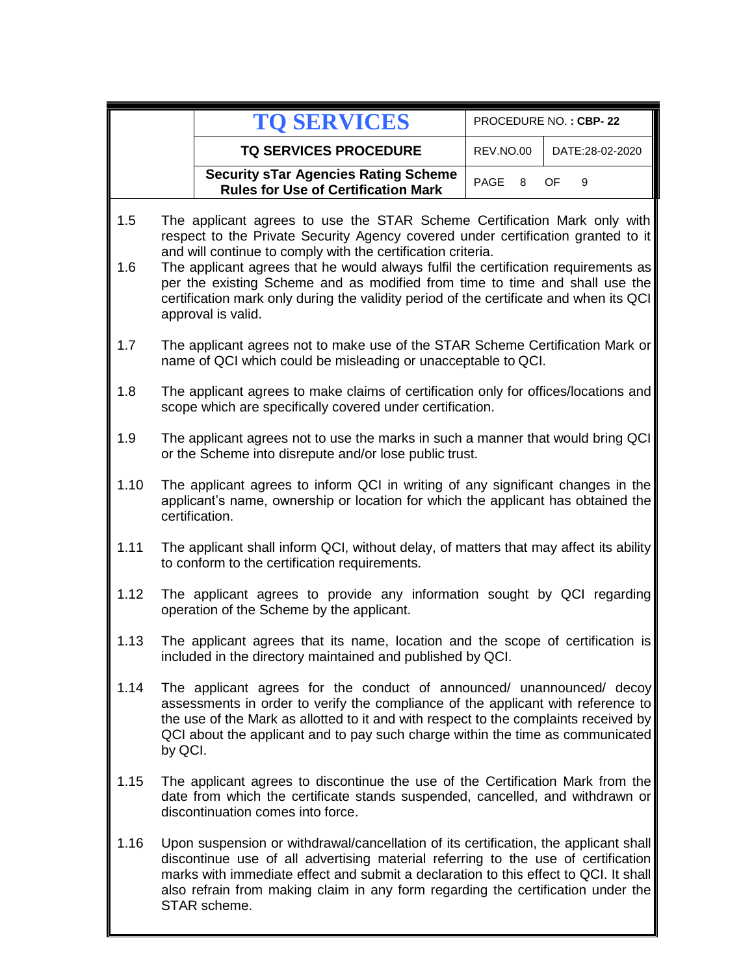|            |                                                                                                                                                                                                                                                                                                                                                                                                   | <b>TO SERVICES</b>                                                                                                                                                                                                                                                                                                                                                    | PROCEDURE NO.: CBP-22 |                 |  |
|------------|---------------------------------------------------------------------------------------------------------------------------------------------------------------------------------------------------------------------------------------------------------------------------------------------------------------------------------------------------------------------------------------------------|-----------------------------------------------------------------------------------------------------------------------------------------------------------------------------------------------------------------------------------------------------------------------------------------------------------------------------------------------------------------------|-----------------------|-----------------|--|
|            |                                                                                                                                                                                                                                                                                                                                                                                                   | <b>TQ SERVICES PROCEDURE</b>                                                                                                                                                                                                                                                                                                                                          | REV.NO.00             | DATE:28-02-2020 |  |
|            |                                                                                                                                                                                                                                                                                                                                                                                                   | <b>Security sTar Agencies Rating Scheme</b><br><b>Rules for Use of Certification Mark</b>                                                                                                                                                                                                                                                                             | PAGE<br>8             | OF<br>9         |  |
| 1.5<br>1.6 | The applicant agrees to use the STAR Scheme Certification Mark only with<br>respect to the Private Security Agency covered under certification granted to it<br>and will continue to comply with the certification criteria.<br>The applicant agrees that he would always fulfil the certification requirements as<br>per the existing Scheme and as modified from time to time and shall use the |                                                                                                                                                                                                                                                                                                                                                                       |                       |                 |  |
|            |                                                                                                                                                                                                                                                                                                                                                                                                   | certification mark only during the validity period of the certificate and when its QCI<br>approval is valid.                                                                                                                                                                                                                                                          |                       |                 |  |
| 1.7        |                                                                                                                                                                                                                                                                                                                                                                                                   | The applicant agrees not to make use of the STAR Scheme Certification Mark or<br>name of QCI which could be misleading or unacceptable to QCI.                                                                                                                                                                                                                        |                       |                 |  |
| 1.8        |                                                                                                                                                                                                                                                                                                                                                                                                   | The applicant agrees to make claims of certification only for offices/locations and<br>scope which are specifically covered under certification.                                                                                                                                                                                                                      |                       |                 |  |
| 1.9        | The applicant agrees not to use the marks in such a manner that would bring QCI<br>or the Scheme into disrepute and/or lose public trust.                                                                                                                                                                                                                                                         |                                                                                                                                                                                                                                                                                                                                                                       |                       |                 |  |
| 1.10       | The applicant agrees to inform QCI in writing of any significant changes in the<br>applicant's name, ownership or location for which the applicant has obtained the<br>certification.                                                                                                                                                                                                             |                                                                                                                                                                                                                                                                                                                                                                       |                       |                 |  |
| 1.11       | The applicant shall inform QCI, without delay, of matters that may affect its ability<br>to conform to the certification requirements.                                                                                                                                                                                                                                                            |                                                                                                                                                                                                                                                                                                                                                                       |                       |                 |  |
| 1.12       | The applicant agrees to provide any information sought by QCI regarding<br>operation of the Scheme by the applicant.                                                                                                                                                                                                                                                                              |                                                                                                                                                                                                                                                                                                                                                                       |                       |                 |  |
| 1.13       |                                                                                                                                                                                                                                                                                                                                                                                                   | The applicant agrees that its name, location and the scope of certification is<br>included in the directory maintained and published by QCI.                                                                                                                                                                                                                          |                       |                 |  |
| 1.14       | The applicant agrees for the conduct of announced/ unannounced/ decoy<br>assessments in order to verify the compliance of the applicant with reference to<br>the use of the Mark as allotted to it and with respect to the complaints received by<br>QCI about the applicant and to pay such charge within the time as communicated<br>by QCI.                                                    |                                                                                                                                                                                                                                                                                                                                                                       |                       |                 |  |
| 1.15       |                                                                                                                                                                                                                                                                                                                                                                                                   | The applicant agrees to discontinue the use of the Certification Mark from the<br>date from which the certificate stands suspended, cancelled, and withdrawn or<br>discontinuation comes into force.                                                                                                                                                                  |                       |                 |  |
| 1.16       |                                                                                                                                                                                                                                                                                                                                                                                                   | Upon suspension or withdrawal/cancellation of its certification, the applicant shall<br>discontinue use of all advertising material referring to the use of certification<br>marks with immediate effect and submit a declaration to this effect to QCI. It shall<br>also refrain from making claim in any form regarding the certification under the<br>STAR scheme. |                       |                 |  |